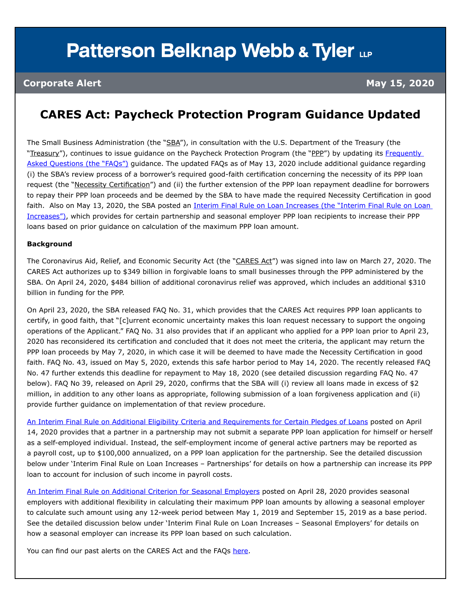# **Patterson Belknap Webb & Tyler LLP**

### **CARES Act: Paycheck Protection Program Guidance Updated**

The Small Business Administration (the "SBA"), in consultation with the U.S. Department of the Treasury (the "Treasury"), continues to issue quidance on the Paycheck Protection Program (the "PPP") by updating its Frequently [Asked Questions \(the "FAQs"\)](https://home.treasury.gov/system/files/136/Paycheck-Protection-Program-Frequently-Asked-Questions.pdf) guidance. The updated FAQs as of May 13, 2020 include additional guidance regarding (i) the SBA's review process of a borrower's required good-faith certification concerning the necessity of its PPP loan request (the "Necessity Certification") and (ii) the further extension of the PPP loan repayment deadline for borrowers to repay their PPP loan proceeds and be deemed by the SBA to have made the required Necessity Certification in good faith. Also on May 13, 2020, the SBA posted an Interim Final Rule on Loan Increases (the "Interim Final Rule on Loan [Increases"\),](https://home.treasury.gov/system/files/136/Interim-Final-Rule-on-Loan-Increases.pdf) which provides for certain partnership and seasonal employer PPP loan recipients to increase their PPP loans based on prior guidance on calculation of the maximum PPP loan amount.

### **Background**

The Coronavirus Aid, Relief, and Economic Security Act (the "CARES Act") was signed into law on March 27, 2020. The CARES Act authorizes up to \$349 billion in forgivable loans to small businesses through the PPP administered by the SBA. On April 24, 2020, \$484 billion of additional coronavirus relief was approved, which includes an additional \$310 billion in funding for the PPP.

On April 23, 2020, the SBA released FAQ No. 31, which provides that the CARES Act requires PPP loan applicants to certify, in good faith, that "[c]urrent economic uncertainty makes this loan request necessary to support the ongoing operations of the Applicant." FAQ No. 31 also provides that if an applicant who applied for a PPP loan prior to April 23, 2020 has reconsidered its certification and concluded that it does not meet the criteria, the applicant may return the PPP loan proceeds by May 7, 2020, in which case it will be deemed to have made the Necessity Certification in good faith. FAQ No. 43, issued on May 5, 2020, extends this safe harbor period to May 14, 2020. The recently released FAQ No. 47 further extends this deadline for repayment to May 18, 2020 (see detailed discussion regarding FAQ No. 47 below). FAQ No 39, released on April 29, 2020, confirms that the SBA will (i) review all loans made in excess of \$2 million, in addition to any other loans as appropriate, following submission of a loan forgiveness application and (ii) provide further guidance on implementation of that review procedure.

[An Interim Final Rule on Additional Eligibility Criteria and Requirements for Certain Pledges of Loans](https://home.treasury.gov/system/files/136/Interim-Final-Rule-Additional-Eligibility-Criteria-and-Requirements-for-Certain-Pledges-of-Loans.pdf) posted on April 14, 2020 provides that a partner in a partnership may not submit a separate PPP loan application for himself or herself as a self-employed individual. Instead, the self-employment income of general active partners may be reported as a payroll cost, up to \$100,000 annualized, on a PPP loan application for the partnership. See the detailed discussion below under 'Interim Final Rule on Loan Increases – Partnerships' for details on how a partnership can increase its PPP loan to account for inclusion of such income in payroll costs.

[An Interim Final Rule on Additional Criterion for Seasonal Employers](https://home.treasury.gov/system/files/136/Interim-Final-Rule-Additional-Criterion-for-Seasonal-Employers.pdf) posted on April 28, 2020 provides seasonal employers with additional flexibility in calculating their maximum PPP loan amounts by allowing a seasonal employer to calculate such amount using any 12-week period between May 1, 2019 and September 15, 2019 as a base period. See the detailed discussion below under 'Interim Final Rule on Loan Increases – Seasonal Employers' for details on how a seasonal employer can increase its PPP loan based on such calculation.

You can find our past alerts on the CARES Act and the FAQs [here](https://www.pbwt.com/publications/coronavirus-covid-19-resource-center/).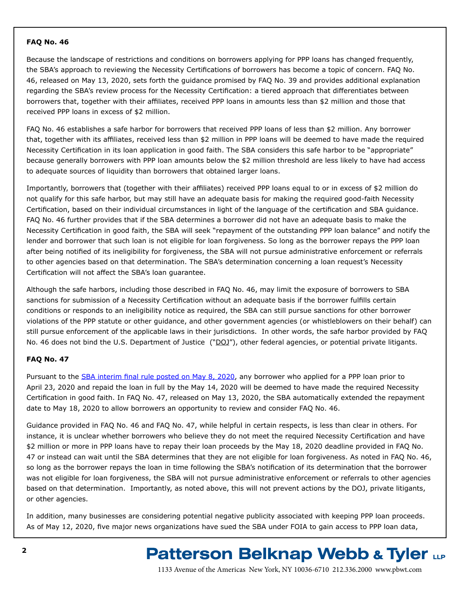### **FAQ No. 46**

Because the landscape of restrictions and conditions on borrowers applying for PPP loans has changed frequently, the SBA's approach to reviewing the Necessity Certifications of borrowers has become a topic of concern. FAQ No. 46, released on May 13, 2020, sets forth the guidance promised by FAQ No. 39 and provides additional explanation regarding the SBA's review process for the Necessity Certification: a tiered approach that differentiates between borrowers that, together with their affiliates, received PPP loans in amounts less than \$2 million and those that received PPP loans in excess of \$2 million.

FAQ No. 46 establishes a safe harbor for borrowers that received PPP loans of less than \$2 million. Any borrower that, together with its affiliates, received less than \$2 million in PPP loans will be deemed to have made the required Necessity Certification in its loan application in good faith. The SBA considers this safe harbor to be "appropriate" because generally borrowers with PPP loan amounts below the \$2 million threshold are less likely to have had access to adequate sources of liquidity than borrowers that obtained larger loans.

Importantly, borrowers that (together with their affiliates) received PPP loans equal to or in excess of \$2 million do not qualify for this safe harbor, but may still have an adequate basis for making the required good-faith Necessity Certification, based on their individual circumstances in light of the language of the certification and SBA guidance. FAQ No. 46 further provides that if the SBA determines a borrower did not have an adequate basis to make the Necessity Certification in good faith, the SBA will seek "repayment of the outstanding PPP loan balance" and notify the lender and borrower that such loan is not eligible for loan forgiveness. So long as the borrower repays the PPP loan after being notified of its ineligibility for forgiveness, the SBA will not pursue administrative enforcement or referrals to other agencies based on that determination. The SBA's determination concerning a loan request's Necessity Certification will not affect the SBA's loan guarantee.

Although the safe harbors, including those described in FAQ No. 46, may limit the exposure of borrowers to SBA sanctions for submission of a Necessity Certification without an adequate basis if the borrower fulfills certain conditions or responds to an ineligibility notice as required, the SBA can still pursue sanctions for other borrower violations of the PPP statute or other guidance, and other government agencies (or whistleblowers on their behalf) can still pursue enforcement of the applicable laws in their jurisdictions. In other words, the safe harbor provided by FAQ No. 46 does not bind the U.S. Department of Justice ("DOJ"), other federal agencies, or potential private litigants.

### **FAQ No. 47**

Pursuant to the [SBA interim final rule posted on May 8, 2020](https://home.treasury.gov/system/files/136/Interim-Final-Rule-on-Extension-of-Limited-Safe-Harbor-with-Respect-to-Certification-Concerning-Need-for-PPP-Loan-Request.pdf), any borrower who applied for a PPP loan prior to April 23, 2020 and repaid the loan in full by the May 14, 2020 will be deemed to have made the required Necessity Certification in good faith. In FAQ No. 47, released on May 13, 2020, the SBA automatically extended the repayment date to May 18, 2020 to allow borrowers an opportunity to review and consider FAQ No. 46.

Guidance provided in FAQ No. 46 and FAQ No. 47, while helpful in certain respects, is less than clear in others. For instance, it is unclear whether borrowers who believe they do not meet the required Necessity Certification and have \$2 million or more in PPP loans have to repay their loan proceeds by the May 18, 2020 deadline provided in FAQ No. 47 or instead can wait until the SBA determines that they are not eligible for loan forgiveness. As noted in FAQ No. 46, so long as the borrower repays the loan in time following the SBA's notification of its determination that the borrower was not eligible for loan forgiveness, the SBA will not pursue administrative enforcement or referrals to other agencies based on that determination. Importantly, as noted above, this will not prevent actions by the DOJ, private litigants, or other agencies.

In addition, many businesses are considering potential negative publicity associated with keeping PPP loan proceeds. As of May 12, 2020, five major news organizations have sued the SBA under FOIA to gain access to PPP loan data,

### **Patterson Belknap Webb & Tyler LLP**

1133 Avenue of the Americas New York, NY 10036-6710 212.336.2000 <www.pbwt.com>